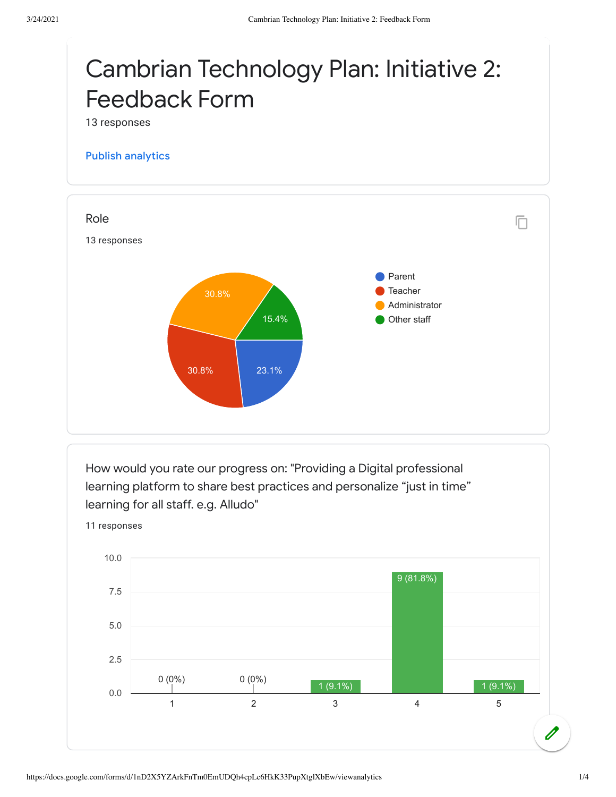## Cambrian Technology Plan: Initiative 2: Feedback Form

13 responses

## Publish [analytics](https://docs.google.com/forms/d/1nD2X5YZArkFnTm0EmUDQh4cpLc6HkK33PupXtglXbEw/edit?usp=redirect_edit_m2#start=publishanalytics)



How would you rate our progress on: "Providing a Digital professional learning platform to share best practices and personalize "just in time" learning for all staff. e.g. Alludo"

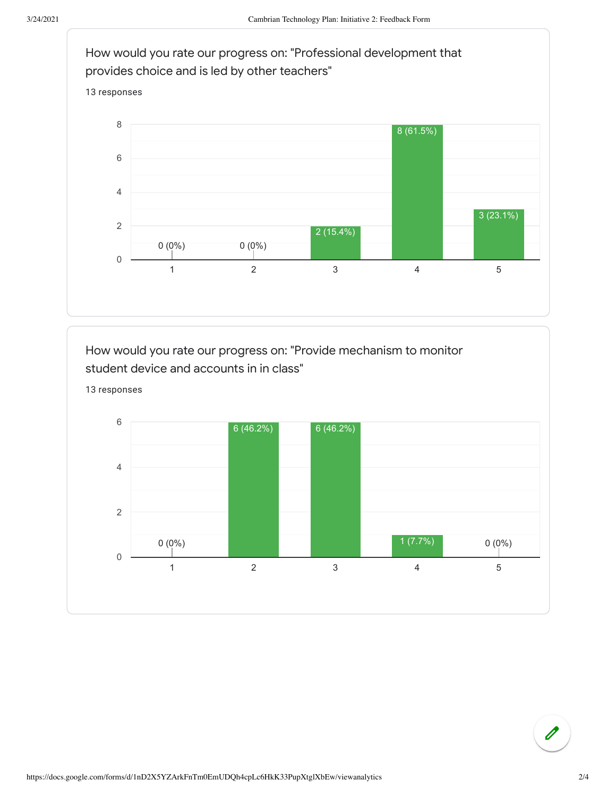

How would you rate our progress on: "Provide mechanism to monitor student device and accounts in in class"



 $\mathscr{O}$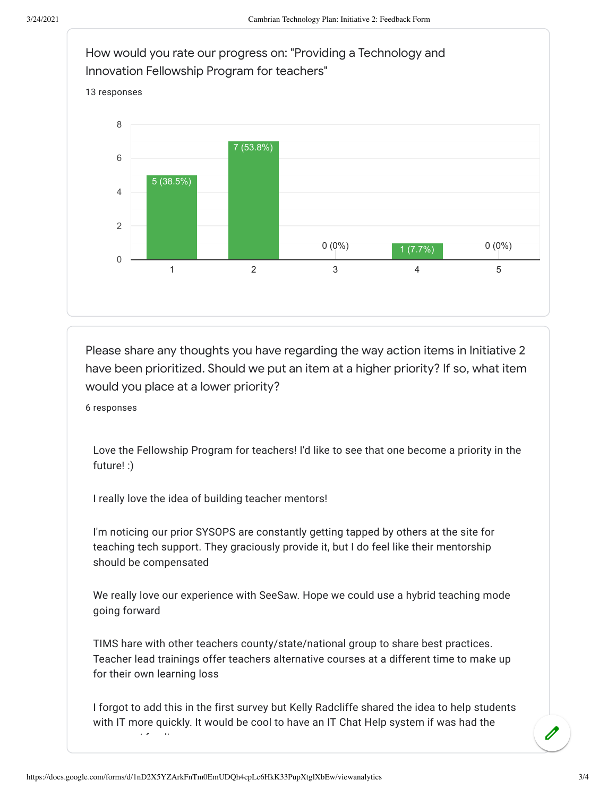

Please share any thoughts you have regarding the way action items in Initiative 2 have been prioritized. Should we put an item at a higher priority? If so, what item would you place at a lower priority?

6 responses

Love the Fellowship Program for teachers! I'd like to see that one become a priority in the future! :)

I really love the idea of building teacher mentors!

I'm noticing our prior SYSOPS are constantly getting tapped by others at the site for teaching tech support. They graciously provide it, but I do feel like their mentorship should be compensated

We really love our experience with SeeSaw. Hope we could use a hybrid teaching mode going forward

TIMS hare with other teachers county/state/national group to share best practices. Teacher lead trainings offer teachers alternative courses at a different time to make up for their own learning loss

I forgot to add this in the first survey but Kelly Radcliffe shared the idea to help students with IT more quickly. It would be cool to have an IT Chat Help system if was had the / f di

https://docs.google.com/forms/d/1nD2X5YZArkFnTm0EmUDQh4cpLc6HkK33PupXtglXbEw/viewanalytics 3/4